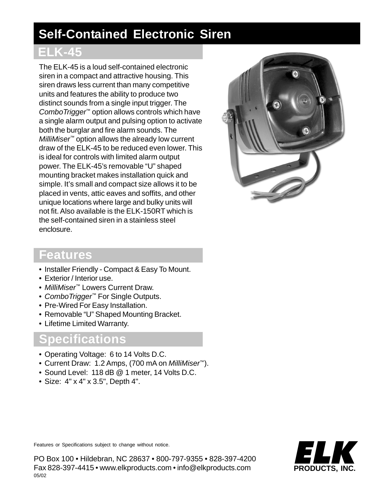# **Self-Contained Electronic Siren**

### **ELK-45**

The ELK-45 is a loud self-contained electronic siren in a compact and attractive housing. This siren draws less current than many competitive units and features the ability to produce two distinct sounds from a single input trigger. The *ComboTrigger*™ option allows controls which have a single alarm output and pulsing option to activate both the burglar and fire alarm sounds. The *MilliMiser*™ option allows the already low current draw of the ELK-45 to be reduced even lower. This is ideal for controls with limited alarm output power. The ELK-45's removable "U" shaped mounting bracket makes installation quick and simple. It's small and compact size allows it to be placed in vents, attic eaves and soffits, and other unique locations where large and bulky units will not fit. Also available is the ELK-150RT which is the self-contained siren in a stainless steel enclosure.



#### **Features**

- Installer Friendly Compact & Easy To Mount.
- Exterior / Interior use.
- *MilliMiser™* Lowers Current Draw.
- *ComboTrigger™* For Single Outputs.
- Pre-Wired For Easy Installation.
- Removable "U" Shaped Mounting Bracket.
- Lifetime Limited Warranty.

### **Specifications**

- Operating Voltage: 6 to 14 Volts D.C.
- Current Draw: 1.2 Amps, (700 mA on *MilliMiser™*).
- Sound Level: 118 dB @ 1 meter, 14 Volts D.C.
- Size: 4" x 4" x 3.5", Depth 4".

ELK **PRODUCTS, INC.**

Features or Specifications subject to change without notice.